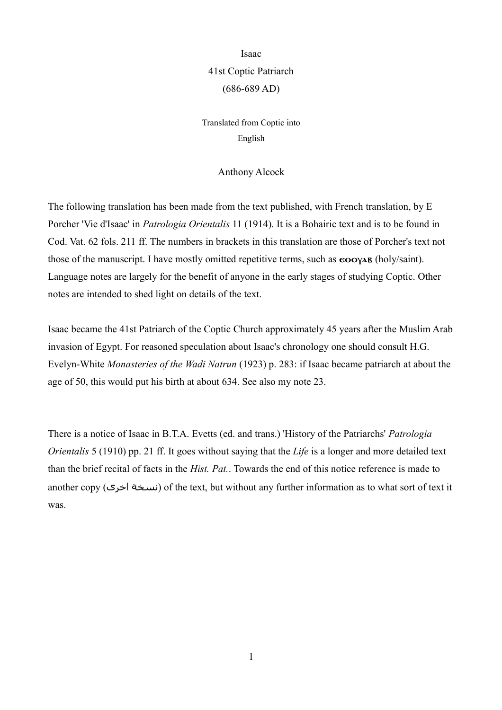Isaac 41st Coptic Patriarch (686-689 AD)

Translated from Coptic into English

## Anthony Alcock

The following translation has been made from the text published, with French translation, by E Porcher 'Vie d'Isaac' in *Patrologia Orientalis* 11 (1914). It is a Bohairic text and is to be found in Cod. Vat. 62 fols. 211 ff. The numbers in brackets in this translation are those of Porcher's text not those of the manuscript. I have mostly omitted repetitive terms, such as  $\epsilon \omega_{\text{VA}}$  (holy/saint). Language notes are largely for the benefit of anyone in the early stages of studying Coptic. Other notes are intended to shed light on details of the text.

Isaac became the 41st Patriarch of the Coptic Church approximately 45 years after the Muslim Arab invasion of Egypt. For reasoned speculation about Isaac's chronology one should consult H.G. Evelyn-White *Monasteries of the Wadi Natrun* (1923) p. 283: if Isaac became patriarch at about the age of 50, this would put his birth at about 634. See also my note 23.

There is a notice of Isaac in B.T.A. Evetts (ed. and trans.) 'History of the Patriarchs' *Patrologia Orientalis* 5 (1910) pp. 21 ff. It goes without saying that the *Life* is a longer and more detailed text than the brief recital of facts in the *Hist. Pat.*. Towards the end of this notice reference is made to another copy (نسخة اخرى) of the text, but without any further information as to what sort of text it was.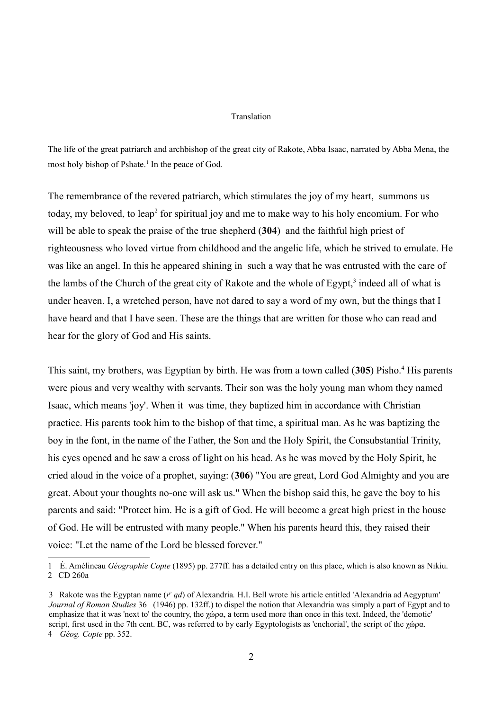## Translation

The life of the great patriarch and archbishop of the great city of Rakote, Abba Isaac, narrated by Abba Mena, the most holy bishop of Pshate.<sup>[1](#page-1-0)</sup> In the peace of God.

The remembrance of the revered patriarch, which stimulates the joy of my heart, summons us today, my beloved, to leap<sup>[2](#page-1-1)</sup> for spiritual joy and me to make way to his holy encomium. For who will be able to speak the praise of the true shepherd (**304**) and the faithful high priest of righteousness who loved virtue from childhood and the angelic life, which he strived to emulate. He was like an angel. In this he appeared shining in such a way that he was entrusted with the care of the lambs of the Church of the great city of Rakote and the whole of  $Egypt$ ,<sup>[3](#page-1-2)</sup> indeed all of what is under heaven. I, a wretched person, have not dared to say a word of my own, but the things that I have heard and that I have seen. These are the things that are written for those who can read and hear for the glory of God and His saints.

This saint, my brothers, was Egyptian by birth. He was from a town called (305) Pisho.<sup>[4](#page-1-3)</sup> His parents were pious and very wealthy with servants. Their son was the holy young man whom they named Isaac, which means 'joy'. When it was time, they baptized him in accordance with Christian practice. His parents took him to the bishop of that time, a spiritual man. As he was baptizing the boy in the font, in the name of the Father, the Son and the Holy Spirit, the Consubstantial Trinity, his eyes opened and he saw a cross of light on his head. As he was moved by the Holy Spirit, he cried aloud in the voice of a prophet, saying: (**306**) "You are great, Lord God Almighty and you are great. About your thoughts no-one will ask us." When the bishop said this, he gave the boy to his parents and said: "Protect him. He is a gift of God. He will become a great high priest in the house of God. He will be entrusted with many people." When his parents heard this, they raised their voice: "Let the name of the Lord be blessed forever."

<span id="page-1-1"></span><span id="page-1-0"></span><sup>1</sup> É. Amélineau *Géographie Copte* (1895) pp. 277ff. has a detailed entry on this place, which is also known as Nikiu. 2 CD 260a

<span id="page-1-3"></span><span id="page-1-2"></span><sup>3</sup> Rakote was the Egyptan name  $(r \cdot qd)$  of Alexandria. H.I. Bell wrote his article entitled 'Alexandria ad Aegyptum' *Journal of Roman Studies* 36 (1946) pp. 132ff.) to dispel the notion that Alexandria was simply a part of Egypt and to emphasize that it was 'next to' the country, the χώρα, a term used more than once in this text. Indeed, the 'demotic' script, first used in the 7th cent. BC, was referred to by early Egyptologists as 'enchorial', the script of the χώρα. 4 *Géog. Copte* pp. 352.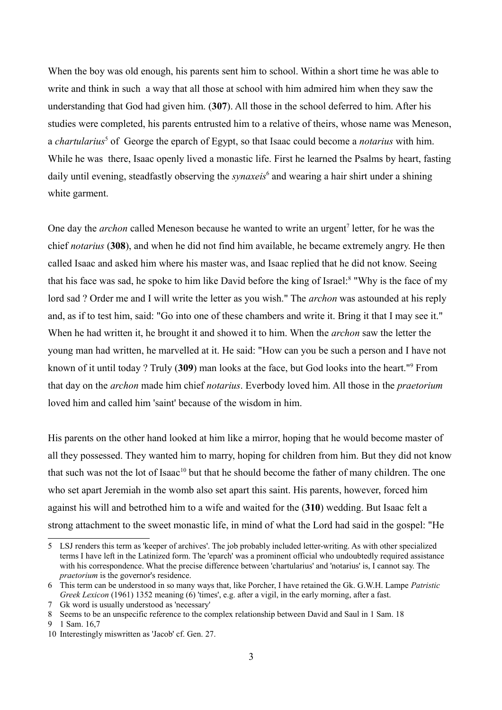When the boy was old enough, his parents sent him to school. Within a short time he was able to write and think in such a way that all those at school with him admired him when they saw the understanding that God had given him. (**307**). All those in the school deferred to him. After his studies were completed, his parents entrusted him to a relative of theirs, whose name was Meneson, a *chartularius*<sup>[5](#page-2-0)</sup> of George the eparch of Egypt, so that Isaac could become a *notarius* with him. While he was there, Isaac openly lived a monastic life. First he learned the Psalms by heart, fasting daily until evening, steadfastly observing the *synaxeis*<sup>[6](#page-2-1)</sup> and wearing a hair shirt under a shining white garment.

One day the *archon* called Meneson because he wanted to write an urgent<sup>[7](#page-2-2)</sup> letter, for he was the chief *notarius* (**308**), and when he did not find him available, he became extremely angry. He then called Isaac and asked him where his master was, and Isaac replied that he did not know. Seeing that his face was sad, he spoke to him like David before the king of Israel:<sup>[8](#page-2-3)</sup> "Why is the face of my lord sad ? Order me and I will write the letter as you wish." The *archon* was astounded at his reply and, as if to test him, said: "Go into one of these chambers and write it. Bring it that I may see it." When he had written it, he brought it and showed it to him. When the *archon* saw the letter the young man had written, he marvelled at it. He said: "How can you be such a person and I have not known of it until today ? Truly (**309**) man looks at the face, but God looks into the heart."[9](#page-2-4) From that day on the *archon* made him chief *notarius*. Everbody loved him. All those in the *praetorium* loved him and called him 'saint' because of the wisdom in him.

His parents on the other hand looked at him like a mirror, hoping that he would become master of all they possessed. They wanted him to marry, hoping for children from him. But they did not know that such was not the lot of Isaac<sup>[10](#page-2-5)</sup> but that he should become the father of many children. The one who set apart Jeremiah in the womb also set apart this saint. His parents, however, forced him against his will and betrothed him to a wife and waited for the (**310**) wedding. But Isaac felt a strong attachment to the sweet monastic life, in mind of what the Lord had said in the gospel: "He

<span id="page-2-0"></span><sup>5</sup> LSJ renders this term as 'keeper of archives'. The job probably included letter-writing. As with other specialized terms I have left in the Latinized form. The 'eparch' was a prominent official who undoubtedly required assistance with his correspondence. What the precise difference between 'chartularius' and 'notarius' is, I cannot say. The *praetorium* is the governor's residence.

<span id="page-2-1"></span><sup>6</sup> This term can be understood in so many ways that, like Porcher, I have retained the Gk. G.W.H. Lampe *Patristic Greek Lexicon* (1961) 1352 meaning (6) 'times', e.g. after a vigil, in the early morning, after a fast.

<span id="page-2-2"></span><sup>7</sup> Gk word is usually understood as 'necessary'

<span id="page-2-3"></span><sup>8</sup> Seems to be an unspecific reference to the complex relationship between David and Saul in 1 Sam. 18

<span id="page-2-4"></span><sup>9</sup> 1 Sam. 16,7

<span id="page-2-5"></span><sup>10</sup> Interestingly miswritten as 'Jacob' cf. Gen. 27.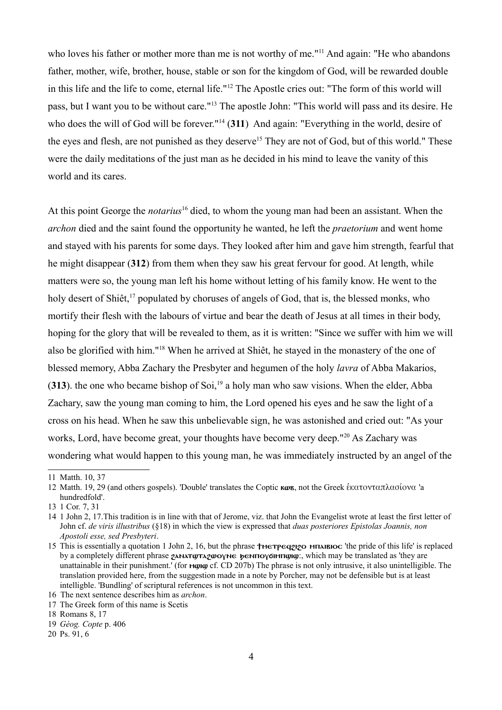who loves his father or mother more than me is not worthy of me."<sup>[11](#page-3-0)</sup> And again: "He who abandons father, mother, wife, brother, house, stable or son for the kingdom of God, will be rewarded double in this life and the life to come, eternal life."[12](#page-3-1) The Apostle cries out: "The form of this world will pass, but I want you to be without care."[13](#page-3-2) The apostle John: "This world will pass and its desire. He who does the will of God will be forever."[14](#page-3-3) (**311**) And again: "Everything in the world, desire of the eyes and flesh, are not punished as they deserve<sup>[15](#page-3-4)</sup> They are not of God, but of this world." These were the daily meditations of the just man as he decided in his mind to leave the vanity of this world and its cares.

At this point George the *notarius*[16](#page-3-5) died, to whom the young man had been an assistant. When the *archon* died and the saint found the opportunity he wanted, he left the *praetorium* and went home and stayed with his parents for some days. They looked after him and gave him strength, fearful that he might disappear (**312**) from them when they saw his great fervour for good. At length, while matters were so, the young man left his home without letting of his family know. He went to the holy desert of Shiêt,<sup>[17](#page-3-6)</sup> populated by choruses of angels of God, that is, the blessed monks, who mortify their flesh with the labours of virtue and bear the death of Jesus at all times in their body, hoping for the glory that will be revealed to them, as it is written: "Since we suffer with him we will also be glorified with him."[18](#page-3-7) When he arrived at Shiêt, he stayed in the monastery of the one of blessed memory, Abba Zachary the Presbyter and hegumen of the holy *lavra* of Abba Makarios, (313). the one who became bishop of Soi,<sup>[19](#page-3-8)</sup> a holy man who saw visions. When the elder, Abba Zachary, saw the young man coming to him, the Lord opened his eyes and he saw the light of a cross on his head. When he saw this unbelievable sign, he was astonished and cried out: "As your works, Lord, have become great, your thoughts have become very deep."[20](#page-3-9) As Zachary was wondering what would happen to this young man, he was immediately instructed by an angel of the

<span id="page-3-0"></span><sup>11</sup> Matth. 10, 37

<span id="page-3-1"></span><sup>12</sup> Matth. 19, 29 (and others gospels). 'Double' translates the Coptic **κωε**, not the Greek έκατονταπλασίονα 'a hundredfold'.

<span id="page-3-2"></span><sup>13</sup> 1 Cor. 7, 31

<span id="page-3-3"></span><sup>14</sup> 1 John 2, 17.This tradition is in line with that of Jerome, viz. that John the Evangelist wrote at least the first letter of John cf. *de viris illustribus* (§18) in which the view is expressed that *duas posteriores Epistolas Joannis, non Apostoli esse, sed Presbyteri*.

<span id="page-3-4"></span><sup>15</sup> This is essentially a quotation 1 John 2, 16, but the phrase †метредаро мпавнос 'the pride of this life' is replaced by a completely different phrase  $\gamma$ <sup>x</sup>  $\gamma$ x $\gamma$  $\gamma$  $\gamma$  $\gamma$  $\gamma$  be  $\gamma$  are beinpopulary. which may be translated as 'they are unattainable in their punishment.' (for  $\mu$  $\omega$  $\alpha$  cf. CD 207b) The phrase is not only intrusive, it also unintelligible. The translation provided here, from the suggestion made in a note by Porcher, may not be defensible but is at least intelligble. 'Bundling' of scriptural references is not uncommon in this text.

<span id="page-3-5"></span><sup>16</sup> The next sentence describes him as *archon*.

<span id="page-3-6"></span><sup>17</sup> The Greek form of this name is Scetis

<span id="page-3-7"></span><sup>18</sup> Romans 8, 17

<span id="page-3-8"></span><sup>19</sup> *Géog. Copte* p. 406

<span id="page-3-9"></span><sup>20</sup> Ps. 91, 6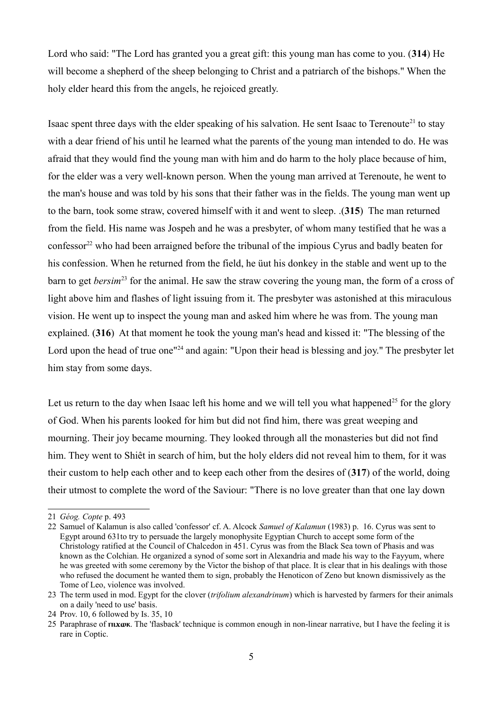Lord who said: "The Lord has granted you a great gift: this young man has come to you. (**314**) He will become a shepherd of the sheep belonging to Christ and a patriarch of the bishops." When the holy elder heard this from the angels, he rejoiced greatly.

Isaac spent three days with the elder speaking of his salvation. He sent Isaac to Terenoute<sup>[21](#page-4-0)</sup> to stay with a dear friend of his until he learned what the parents of the young man intended to do. He was afraid that they would find the young man with him and do harm to the holy place because of him, for the elder was a very well-known person. When the young man arrived at Terenoute, he went to the man's house and was told by his sons that their father was in the fields. The young man went up to the barn, took some straw, covered himself with it and went to sleep. .(**315**) The man returned from the field. His name was Jospeh and he was a presbyter, of whom many testified that he was a  $\frac{1}{2}$  confessor<sup>[22](#page-4-1)</sup> who had been arraigned before the tribunal of the impious Cyrus and badly beaten for his confession. When he returned from the field, he üut his donkey in the stable and went up to the barn to get *bersim*<sup>[23](#page-4-2)</sup> for the animal. He saw the straw covering the young man, the form of a cross of light above him and flashes of light issuing from it. The presbyter was astonished at this miraculous vision. He went up to inspect the young man and asked him where he was from. The young man explained. (**316**) At that moment he took the young man's head and kissed it: "The blessing of the Lord upon the head of true one<sup>"[24](#page-4-3)</sup> and again: "Upon their head is blessing and joy." The presbyter let him stay from some days.

Let us return to the day when Isaac left his home and we will tell you what happened<sup>[25](#page-4-4)</sup> for the glory of God. When his parents looked for him but did not find him, there was great weeping and mourning. Their joy became mourning. They looked through all the monasteries but did not find him. They went to Shiêt in search of him, but the holy elders did not reveal him to them, for it was their custom to help each other and to keep each other from the desires of (**317**) of the world, doing their utmost to complete the word of the Saviour: "There is no love greater than that one lay down

<span id="page-4-0"></span><sup>21</sup> *Géog. Copte* p. 493

<span id="page-4-1"></span><sup>22</sup> Samuel of Kalamun is also called 'confessor' cf. A. Alcock *Samuel of Kalamun* (1983) p. 16. Cyrus was sent to Egypt around 631to try to persuade the largely monophysite Egyptian Church to accept some form of the Christology ratified at the Council of Chalcedon in 451. Cyrus was from the Black Sea town of Phasis and was known as the Colchian. He organized a synod of some sort in Alexandria and made his way to the Fayyum, where he was greeted with some ceremony by the Victor the bishop of that place. It is clear that in his dealings with those who refused the document he wanted them to sign, probably the Henoticon of Zeno but known dismissively as the Tome of Leo, violence was involved.

<span id="page-4-2"></span><sup>23</sup> The term used in mod. Egypt for the clover (*trifolium alexandrinum*) which is harvested by farmers for their animals on a daily 'need to use' basis.

<span id="page-4-3"></span><sup>24</sup> Prov. 10, 6 followed by Is. 35, 10

<span id="page-4-4"></span><sup>25</sup> Paraphrase of  $\pi x$  w. The 'flasback' technique is common enough in non-linear narrative, but I have the feeling it is rare in Coptic.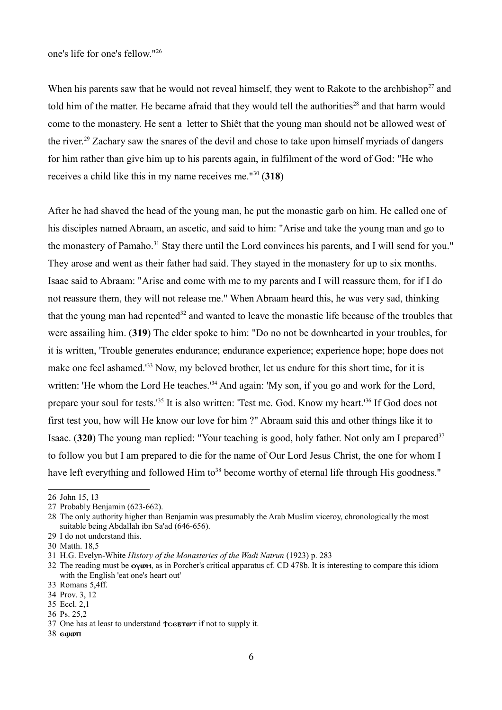When his parents saw that he would not reveal himself, they went to Rakote to the archbishop<sup>[27](#page-5-1)</sup> and told him of the matter. He became afraid that they would tell the authorities<sup>[28](#page-5-2)</sup> and that harm would come to the monastery. He sent a letter to Shiêt that the young man should not be allowed west of the river.[29](#page-5-3) Zachary saw the snares of the devil and chose to take upon himself myriads of dangers for him rather than give him up to his parents again, in fulfilment of the word of God: "He who receives a child like this in my name receives me."[30](#page-5-4) (**318**)

After he had shaved the head of the young man, he put the monastic garb on him. He called one of his disciples named Abraam, an ascetic, and said to him: "Arise and take the young man and go to the monastery of Pamaho.<sup>[31](#page-5-5)</sup> Stay there until the Lord convinces his parents, and I will send for you." They arose and went as their father had said. They stayed in the monastery for up to six months. Isaac said to Abraam: "Arise and come with me to my parents and I will reassure them, for if I do not reassure them, they will not release me." When Abraam heard this, he was very sad, thinking that the young man had repented $32$  and wanted to leave the monastic life because of the troubles that were assailing him. (**319**) The elder spoke to him: "Do no not be downhearted in your troubles, for it is written, 'Trouble generates endurance; endurance experience; experience hope; hope does not make one feel ashamed.<sup>1[33](#page-5-7)</sup> Now, my beloved brother, let us endure for this short time, for it is written: 'He whom the Lord He teaches.'<sup>[34](#page-5-8)</sup> And again: 'My son, if you go and work for the Lord, prepare your soul for tests.'[35](#page-5-9) It is also written: 'Test me. God. Know my heart.'[36](#page-5-10) If God does not first test you, how will He know our love for him ?" Abraam said this and other things like it to Isaac. (320) The young man replied: "Your teaching is good, holy father. Not only am I prepared<sup>[37](#page-5-11)</sup> to follow you but I am prepared to die for the name of Our Lord Jesus Christ, the one for whom I have left everything and followed Him to<sup>[38](#page-5-12)</sup> become worthy of eternal life through His goodness."

<span id="page-5-0"></span><sup>26</sup> John 15, 13

<span id="page-5-1"></span><sup>27</sup> Probably Benjamin (623-662).

<span id="page-5-2"></span><sup>28</sup> The only authority higher than Benjamin was presumably the Arab Muslim viceroy, chronologically the most suitable being Abdallah ibn Sa'ad (646-656).

<span id="page-5-3"></span><sup>29</sup> I do not understand this.

<span id="page-5-4"></span><sup>30</sup> Matth. 18,5

<span id="page-5-5"></span><sup>31</sup> H.G. Evelyn-White *History of the Monasteries of the Wadi Natrun* (1923) p. 283

<span id="page-5-6"></span><sup>32</sup> The reading must be  $o\gamma\omega\mathbf{m}$ , as in Porcher's critical apparatus cf. CD 478b. It is interesting to compare this idiom with the English 'eat one's heart out'

<span id="page-5-7"></span><sup>33</sup> Romans 5,4ff.

<span id="page-5-8"></span><sup>34</sup> Prov. 3, 12

<span id="page-5-9"></span><sup>35</sup> Eccl. 2,1

<span id="page-5-10"></span><sup>36</sup> Ps. 25,2

<span id="page-5-11"></span><sup>37</sup> One has at least to understand  $\uparrow$ **CERTOT** if not to supply it.

<span id="page-5-12"></span> $38$  ewwn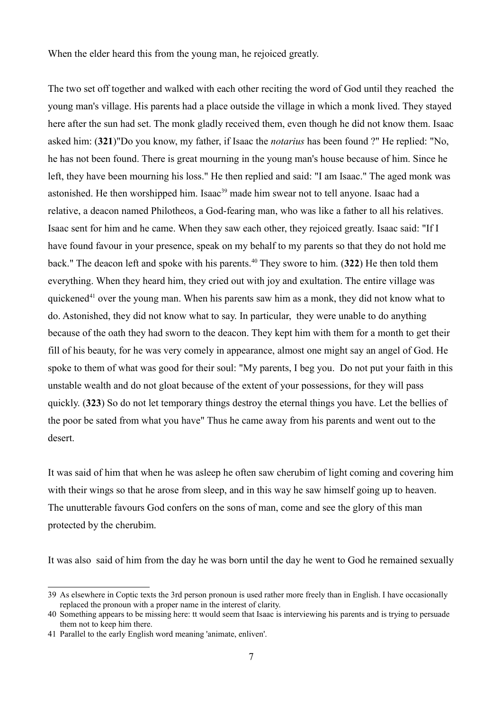When the elder heard this from the young man, he rejoiced greatly.

The two set off together and walked with each other reciting the word of God until they reached the young man's village. His parents had a place outside the village in which a monk lived. They stayed here after the sun had set. The monk gladly received them, even though he did not know them. Isaac asked him: (**321**)"Do you know, my father, if Isaac the *notarius* has been found ?" He replied: "No, he has not been found. There is great mourning in the young man's house because of him. Since he left, they have been mourning his loss." He then replied and said: "I am Isaac." The aged monk was astonished. He then worshipped him. Isaac<sup>[39](#page-6-0)</sup> made him swear not to tell anyone. Isaac had a relative, a deacon named Philotheos, a God-fearing man, who was like a father to all his relatives. Isaac sent for him and he came. When they saw each other, they rejoiced greatly. Isaac said: "If I have found favour in your presence, speak on my behalf to my parents so that they do not hold me back." The deacon left and spoke with his parents.[40](#page-6-1) They swore to him. (**322**) He then told them everything. When they heard him, they cried out with joy and exultation. The entire village was quickened<sup>[41](#page-6-2)</sup> over the young man. When his parents saw him as a monk, they did not know what to do. Astonished, they did not know what to say. In particular, they were unable to do anything because of the oath they had sworn to the deacon. They kept him with them for a month to get their fill of his beauty, for he was very comely in appearance, almost one might say an angel of God. He spoke to them of what was good for their soul: "My parents, I beg you. Do not put your faith in this unstable wealth and do not gloat because of the extent of your possessions, for they will pass quickly. (**323**) So do not let temporary things destroy the eternal things you have. Let the bellies of the poor be sated from what you have" Thus he came away from his parents and went out to the desert.

It was said of him that when he was asleep he often saw cherubim of light coming and covering him with their wings so that he arose from sleep, and in this way he saw himself going up to heaven. The unutterable favours God confers on the sons of man, come and see the glory of this man protected by the cherubim.

It was also said of him from the day he was born until the day he went to God he remained sexually

<span id="page-6-0"></span><sup>39</sup> As elsewhere in Coptic texts the 3rd person pronoun is used rather more freely than in English. I have occasionally replaced the pronoun with a proper name in the interest of clarity.

<span id="page-6-1"></span><sup>40</sup> Something appears to be missing here: tt would seem that Isaac is interviewing his parents and is trying to persuade them not to keep him there.

<span id="page-6-2"></span><sup>41</sup> Parallel to the early English word meaning 'animate, enliven'.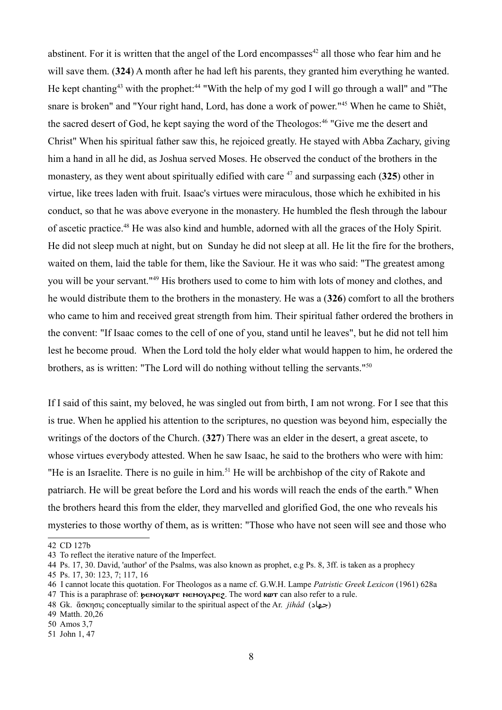abstinent. For it is written that the angel of the Lord encompasses<sup>[42](#page-7-0)</sup> all those who fear him and he will save them. (**324**) A month after he had left his parents, they granted him everything he wanted. He kept chanting<sup>[43](#page-7-1)</sup> with the prophet:<sup>[44](#page-7-2)</sup> "With the help of my god I will go through a wall" and "The snare is broken" and "Your right hand, Lord, has done a work of power."[45](#page-7-3) When he came to Shiêt, the sacred desert of God, he kept saying the word of the Theologos:<sup>[46](#page-7-4)</sup> "Give me the desert and Christ" When his spiritual father saw this, he rejoiced greatly. He stayed with Abba Zachary, giving him a hand in all he did, as Joshua served Moses. He observed the conduct of the brothers in the monastery, as they went about spiritually edified with care [47](#page-7-5) and surpassing each (**325**) other in virtue, like trees laden with fruit. Isaac's virtues were miraculous, those which he exhibited in his conduct, so that he was above everyone in the monastery. He humbled the flesh through the labour of ascetic practice.[48](#page-7-6) He was also kind and humble, adorned with all the graces of the Holy Spirit. He did not sleep much at night, but on Sunday he did not sleep at all. He lit the fire for the brothers, waited on them, laid the table for them, like the Saviour. He it was who said: "The greatest among you will be your servant."[49](#page-7-7) His brothers used to come to him with lots of money and clothes, and he would distribute them to the brothers in the monastery. He was a (**326**) comfort to all the brothers who came to him and received great strength from him. Their spiritual father ordered the brothers in the convent: "If Isaac comes to the cell of one of you, stand until he leaves", but he did not tell him lest he become proud. When the Lord told the holy elder what would happen to him, he ordered the brothers, as is written: "The Lord will do nothing without telling the servants."[50](#page-7-8)

If I said of this saint, my beloved, he was singled out from birth, I am not wrong. For I see that this is true. When he applied his attention to the scriptures, no question was beyond him, especially the writings of the doctors of the Church. (**327**) There was an elder in the desert, a great ascete, to whose virtues everybody attested. When he saw Isaac, he said to the brothers who were with him: "He is an Israelite. There is no guile in him.<sup>[51](#page-7-9)</sup> He will be archbishop of the city of Rakote and patriarch. He will be great before the Lord and his words will reach the ends of the earth." When the brothers heard this from the elder, they marvelled and glorified God, the one who reveals his mysteries to those worthy of them, as is written: "Those who have not seen will see and those who

<span id="page-7-7"></span>49 Matth. 20,26

<span id="page-7-0"></span><sup>42</sup> CD 127b

<span id="page-7-1"></span><sup>43</sup> To reflect the iterative nature of the Imperfect.

<span id="page-7-2"></span><sup>44</sup> Ps. 17, 30. David, 'author' of the Psalms, was also known as prophet, e.g Ps. 8, 3ff. is taken as a prophecy

<span id="page-7-3"></span><sup>45</sup> Ps. 17, 30: 123, 7; 117, 16

<span id="page-7-4"></span><sup>46</sup> I cannot locate this quotation. For Theologos as a name cf. G.W.H. Lampe *Patristic Greek Lexicon* (1961) 628a

<span id="page-7-5"></span><sup>47</sup> This is a paraphrase of:  $\phi \in V$   $\mathcal{A}$  is new  $\phi \in V$ . The word  $\mathcal{A}$  we can also refer to a rule.

<span id="page-7-6"></span><sup>48</sup> Gk. ἅσκησις conceptually similar to the spiritual aspect of the Ar. *jihâd* (جهاد(

<span id="page-7-8"></span><sup>50</sup> Amos 3,7

<span id="page-7-9"></span><sup>51</sup> John 1, 47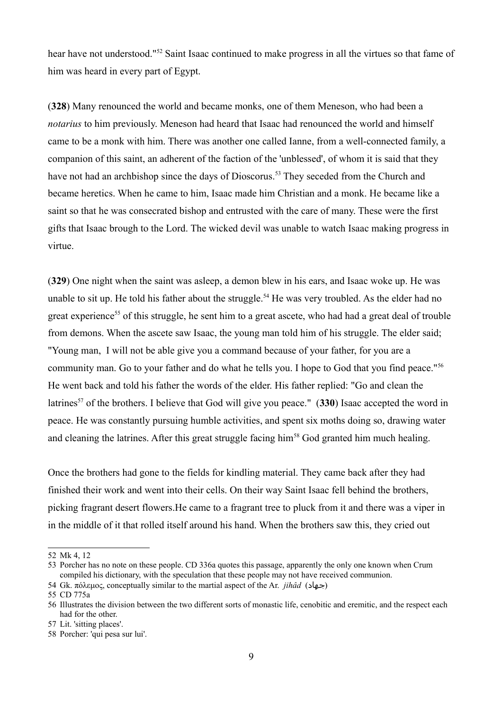hear have not understood."[52](#page-8-0) Saint Isaac continued to make progress in all the virtues so that fame of him was heard in every part of Egypt.

(**328**) Many renounced the world and became monks, one of them Meneson, who had been a *notarius* to him previously. Meneson had heard that Isaac had renounced the world and himself came to be a monk with him. There was another one called Ianne, from a well-connected family, a companion of this saint, an adherent of the faction of the 'unblessed', of whom it is said that they have not had an archbishop since the days of Dioscorus.<sup>[53](#page-8-1)</sup> They seceded from the Church and became heretics. When he came to him, Isaac made him Christian and a monk. He became like a saint so that he was consecrated bishop and entrusted with the care of many. These were the first gifts that Isaac brough to the Lord. The wicked devil was unable to watch Isaac making progress in virtue.

(**329**) One night when the saint was asleep, a demon blew in his ears, and Isaac woke up. He was unable to sit up. He told his father about the struggle.<sup>[54](#page-8-2)</sup> He was very troubled. As the elder had no great experience<sup>[55](#page-8-3)</sup> of this struggle, he sent him to a great ascete, who had had a great deal of trouble from demons. When the ascete saw Isaac, the young man told him of his struggle. The elder said; "Young man, I will not be able give you a command because of your father, for you are a community man. Go to your father and do what he tells you. I hope to God that you find peace."[56](#page-8-4) He went back and told his father the words of the elder. His father replied: "Go and clean the latrines<sup>[57](#page-8-5)</sup> of the brothers. I believe that God will give you peace." (330) Isaac accepted the word in peace. He was constantly pursuing humble activities, and spent six moths doing so, drawing water and cleaning the latrines. After this great struggle facing him<sup>[58](#page-8-6)</sup> God granted him much healing.

Once the brothers had gone to the fields for kindling material. They came back after they had finished their work and went into their cells. On their way Saint Isaac fell behind the brothers, picking fragrant desert flowers.He came to a fragrant tree to pluck from it and there was a viper in in the middle of it that rolled itself around his hand. When the brothers saw this, they cried out

<span id="page-8-0"></span><sup>52</sup> Mk 4, 12

<span id="page-8-1"></span><sup>53</sup> Porcher has no note on these people. CD 336a quotes this passage, apparently the only one known when Crum compiled his dictionary, with the speculation that these people may not have received communion.

<span id="page-8-2"></span><sup>54</sup> Gk. πόλεμος, conceptually similar to the martial aspect of the Ar. *jihâd* (جهاد(

<span id="page-8-3"></span><sup>55</sup> CD 775a

<span id="page-8-4"></span><sup>56</sup> Illustrates the division between the two different sorts of monastic life, cenobitic and eremitic, and the respect each had for the other.

<span id="page-8-5"></span><sup>57</sup> Lit. 'sitting places'.

<span id="page-8-6"></span><sup>58</sup> Porcher: 'qui pesa sur lui'.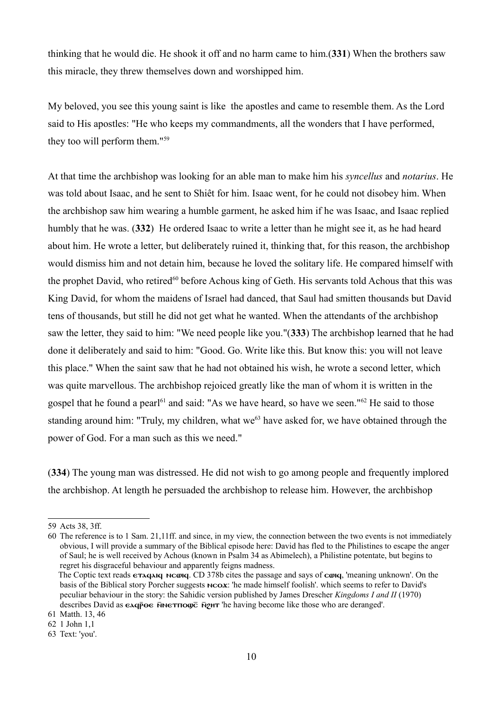thinking that he would die. He shook it off and no harm came to him.(**331**) When the brothers saw this miracle, they threw themselves down and worshipped him.

My beloved, you see this young saint is like the apostles and came to resemble them. As the Lord said to His apostles: "He who keeps my commandments, all the wonders that I have performed, they too will perform them."[59](#page-9-0)

At that time the archbishop was looking for an able man to make him his *syncellus* and *notarius*. He was told about Isaac, and he sent to Shiêt for him. Isaac went, for he could not disobey him. When the archbishop saw him wearing a humble garment, he asked him if he was Isaac, and Isaac replied humbly that he was. (**332**) He ordered Isaac to write a letter than he might see it, as he had heard about him. He wrote a letter, but deliberately ruined it, thinking that, for this reason, the archbishop would dismiss him and not detain him, because he loved the solitary life. He compared himself with the prophet David, who retired<sup>[60](#page-9-1)</sup> before Achous king of Geth. His servants told Achous that this was King David, for whom the maidens of Israel had danced, that Saul had smitten thousands but David tens of thousands, but still he did not get what he wanted. When the attendants of the archbishop saw the letter, they said to him: "We need people like you."(**333**) The archbishop learned that he had done it deliberately and said to him: "Good. Go. Write like this. But know this: you will not leave this place." When the saint saw that he had not obtained his wish, he wrote a second letter, which was quite marvellous. The archbishop rejoiced greatly like the man of whom it is written in the gospel that he found a pearl<sup>[61](#page-9-2)</sup> and said: "As we have heard, so have we seen."<sup>[62](#page-9-3)</sup> He said to those standing around him: "Truly, my children, what we<sup>[63](#page-9-4)</sup> have asked for, we have obtained through the power of God. For a man such as this we need."

(**334**) The young man was distressed. He did not wish to go among people and frequently implored the archbishop. At length he persuaded the archbishop to release him. However, the archbishop

<span id="page-9-0"></span><sup>59</sup> Acts 38, 3ff.

<span id="page-9-1"></span><sup>60</sup> The reference is to 1 Sam. 21,11ff. and since, in my view, the connection between the two events is not immediately obvious, I will provide a summary of the Biblical episode here: David has fled to the Philistines to escape the anger of Saul; he is well received by Achous (known in Psalm 34 as Abimelech), a Philistine potentate, but begins to regret his disgraceful behaviour and apparently feigns madness.

The Coptic text reads **etagaig needs**. CD 378b cites the passage and says of **cong**, 'meaning unknown'. On the basis of the Biblical story Porcher suggests  $n\text{co}x$ : 'he made himself foolish'. which seems to refer to David's peculiar behaviour in the story: the Sahidic version published by James Drescher *Kingdoms I and II* (1970) describes David as  $\epsilon \Delta q \bar{p} \Theta \epsilon$  Networth  $\bar{p}$  in the having become like those who are deranged'.

<span id="page-9-2"></span><sup>61</sup> Matth. 13, 46

<span id="page-9-3"></span><sup>62</sup> 1 John 1,1

<span id="page-9-4"></span><sup>63</sup> Text: 'you'.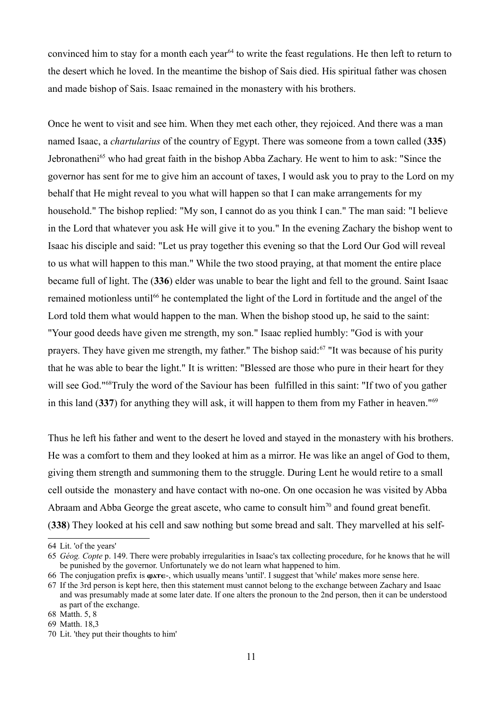convinced him to stay for a month each year<sup>[64](#page-10-0)</sup> to write the feast regulations. He then left to return to the desert which he loved. In the meantime the bishop of Sais died. His spiritual father was chosen and made bishop of Sais. Isaac remained in the monastery with his brothers.

Once he went to visit and see him. When they met each other, they rejoiced. And there was a man named Isaac, a *chartularius* of the country of Egypt. There was someone from a town called (**335**) Jebronatheni<sup>[65](#page-10-1)</sup> who had great faith in the bishop Abba Zachary. He went to him to ask: "Since the governor has sent for me to give him an account of taxes, I would ask you to pray to the Lord on my behalf that He might reveal to you what will happen so that I can make arrangements for my household." The bishop replied: "My son, I cannot do as you think I can." The man said: "I believe in the Lord that whatever you ask He will give it to you." In the evening Zachary the bishop went to Isaac his disciple and said: "Let us pray together this evening so that the Lord Our God will reveal to us what will happen to this man." While the two stood praying, at that moment the entire place became full of light. The (**336**) elder was unable to bear the light and fell to the ground. Saint Isaac remained motionless until<sup>[66](#page-10-2)</sup> he contemplated the light of the Lord in fortitude and the angel of the Lord told them what would happen to the man. When the bishop stood up, he said to the saint: "Your good deeds have given me strength, my son." Isaac replied humbly: "God is with your prayers. They have given me strength, my father." The bishop said:<sup>[67](#page-10-3)</sup> "It was because of his purity that he was able to bear the light." It is written: "Blessed are those who pure in their heart for they will see God."<sup>[68](#page-10-4)</sup>Truly the word of the Saviour has been fulfilled in this saint: "If two of you gather in this land (**337**) for anything they will ask, it will happen to them from my Father in heaven."[69](#page-10-5)

Thus he left his father and went to the desert he loved and stayed in the monastery with his brothers. He was a comfort to them and they looked at him as a mirror. He was like an angel of God to them, giving them strength and summoning them to the struggle. During Lent he would retire to a small cell outside the monastery and have contact with no-one. On one occasion he was visited by Abba Abraam and Abba George the great ascete, who came to consult  $\lim_{n \to \infty}$  and found great benefit. (**338**) They looked at his cell and saw nothing but some bread and salt. They marvelled at his self-

<span id="page-10-0"></span><sup>64</sup> Lit. 'of the years'

<span id="page-10-1"></span><sup>65</sup> *Géog. Copte* p. 149. There were probably irregularities in Isaac's tax collecting procedure, for he knows that he will be punished by the governor. Unfortunately we do not learn what happened to him.

<span id="page-10-2"></span><sup>66</sup> The conjugation prefix is  $\omega$ <sub>x</sub>  $\epsilon$ -, which usually means 'until'. I suggest that 'while' makes more sense here.

<span id="page-10-3"></span><sup>67</sup> If the 3rd person is kept here, then this statement must cannot belong to the exchange between Zachary and Isaac and was presumably made at some later date. If one alters the pronoun to the 2nd person, then it can be understood as part of the exchange.

<span id="page-10-4"></span><sup>68</sup> Matth. 5, 8

<span id="page-10-5"></span><sup>69</sup> Matth. 18,3

<span id="page-10-6"></span><sup>70</sup> Lit. 'they put their thoughts to him'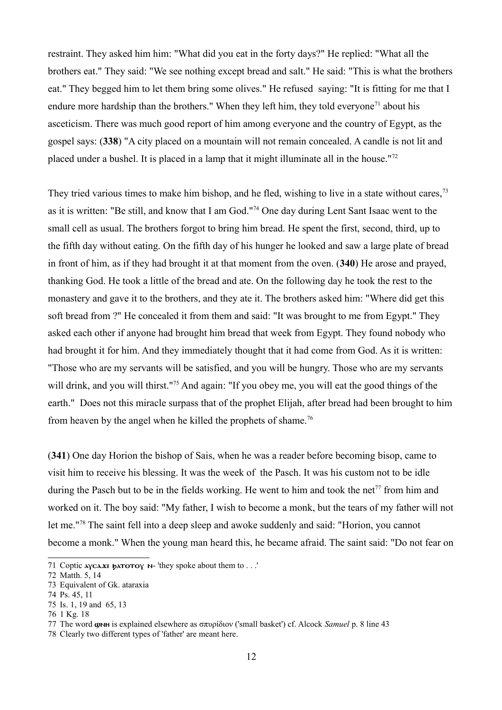restraint. They asked him him: "What did you eat in the forty days?" He replied: "What all the brothers eat." They said: "We see nothing except bread and salt." He said: "This is what the brothers eat." They begged him to let them bring some olives." He refused saying: "It is fitting for me that I endure more hardship than the brothers." When they left him, they told everyone<sup>[71](#page-11-0)</sup> about his asceticism. There was much good report of him among everyone and the country of Egypt, as the gospel says: (**338**) "A city placed on a mountain will not remain concealed. A candle is not lit and placed under a bushel. It is placed in a lamp that it might illuminate all in the house."[72](#page-11-1)

They tried various times to make him bishop, and he fled, wishing to live in a state without cares,<sup>[73](#page-11-2)</sup> as it is written: "Be still, and know that I am God."[74](#page-11-3) One day during Lent Sant Isaac went to the small cell as usual. The brothers forgot to bring him bread. He spent the first, second, third, up to the fifth day without eating. On the fifth day of his hunger he looked and saw a large plate of bread in front of him, as if they had brought it at that moment from the oven. (**340**) He arose and prayed, thanking God. He took a little of the bread and ate. On the following day he took the rest to the monastery and gave it to the brothers, and they ate it. The brothers asked him: "Where did get this soft bread from ?" He concealed it from them and said: "It was brought to me from Egypt." They asked each other if anyone had brought him bread that week from Egypt. They found nobody who had brought it for him. And they immediately thought that it had come from God. As it is written: "Those who are my servants will be satisfied, and you will be hungry. Those who are my servants will drink, and you will thirst."<sup>[75](#page-11-4)</sup> And again: "If you obey me, you will eat the good things of the earth." Does not this miracle surpass that of the prophet Elijah, after bread had been brought to him from heaven by the angel when he killed the prophets of shame.<sup>[76](#page-11-5)</sup>

(**341**) One day Horion the bishop of Sais, when he was a reader before becoming bisop, came to visit him to receive his blessing. It was the week of the Pasch. It was his custom not to be idle during the Pasch but to be in the fields working. He went to him and took the net<sup>[77](#page-11-6)</sup> from him and worked on it. The boy said: "My father, I wish to become a monk, but the tears of my father will not let me."[78](#page-11-7) The saint fell into a deep sleep and awoke suddenly and said: "Horion, you cannot become a monk." When the young man heard this, he became afraid. The saint said: "Do not fear on

<span id="page-11-0"></span><sup>71</sup> Coptic  $\Delta x$  **b** $\Delta x$  **b** $\Delta x$  **h** $\Delta y$  **h** $\Delta x$  **h** $\Delta y$  **h** $\Delta x$  **h** $\Delta y$  **h** $\Delta x$  **h** $\Delta y$  **h** $\Delta x$  **h** $\Delta y$  **h** $\Delta x$  **h** $\Delta y$  **h** $\Delta x$  **h** $\Delta y$  **h** $\Delta x$  **h** $\Delta y$  **h** $\Delta x$  **h** $\Delta y$  **h** $\Delta x$  **h** $\Delta y$  **h** $\Delta x$  **h** $\Delta y$ 

<span id="page-11-1"></span><sup>72</sup> Matth. 5, 14

<span id="page-11-2"></span><sup>73</sup> Equivalent of Gk. ataraxia

<span id="page-11-3"></span><sup>74</sup> Ps. 45, 11

<span id="page-11-4"></span><sup>75</sup> Is. 1, 19 and 65, 13

<span id="page-11-5"></span><sup>76</sup> 1 Kg. 18

<span id="page-11-6"></span><sup>77</sup> The word **ω**NH is explained elsewhere as σπυρίδιον ('small basket') cf. Alcock *Samuel* p. 8 line 43

<span id="page-11-7"></span><sup>78</sup> Clearly two different types of 'father' are meant here.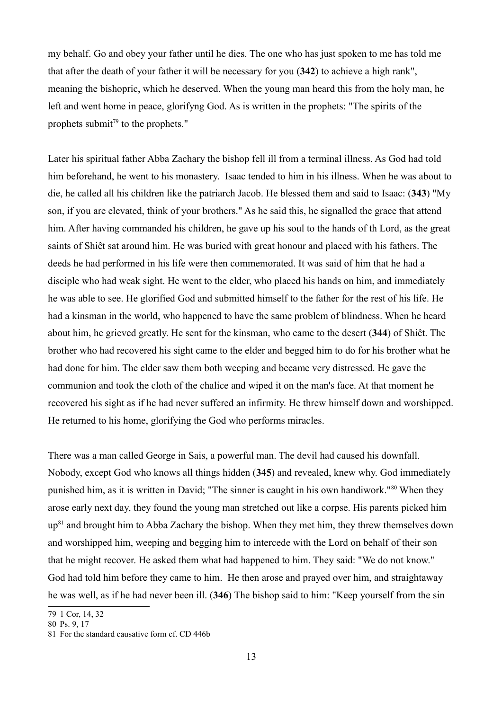my behalf. Go and obey your father until he dies. The one who has just spoken to me has told me that after the death of your father it will be necessary for you (**342**) to achieve a high rank", meaning the bishopric, which he deserved. When the young man heard this from the holy man, he left and went home in peace, glorifyng God. As is written in the prophets: "The spirits of the prophets submit $79$  to the prophets."

Later his spiritual father Abba Zachary the bishop fell ill from a terminal illness. As God had told him beforehand, he went to his monastery. Isaac tended to him in his illness. When he was about to die, he called all his children like the patriarch Jacob. He blessed them and said to Isaac: (**343**) "My son, if you are elevated, think of your brothers." As he said this, he signalled the grace that attend him. After having commanded his children, he gave up his soul to the hands of th Lord, as the great saints of Shiêt sat around him. He was buried with great honour and placed with his fathers. The deeds he had performed in his life were then commemorated. It was said of him that he had a disciple who had weak sight. He went to the elder, who placed his hands on him, and immediately he was able to see. He glorified God and submitted himself to the father for the rest of his life. He had a kinsman in the world, who happened to have the same problem of blindness. When he heard about him, he grieved greatly. He sent for the kinsman, who came to the desert (**344**) of Shiêt. The brother who had recovered his sight came to the elder and begged him to do for his brother what he had done for him. The elder saw them both weeping and became very distressed. He gave the communion and took the cloth of the chalice and wiped it on the man's face. At that moment he recovered his sight as if he had never suffered an infirmity. He threw himself down and worshipped. He returned to his home, glorifying the God who performs miracles.

There was a man called George in Sais, a powerful man. The devil had caused his downfall. Nobody, except God who knows all things hidden (**345**) and revealed, knew why. God immediately punished him, as it is written in David; "The sinner is caught in his own handiwork."[80](#page-12-1) When they arose early next day, they found the young man stretched out like a corpse. His parents picked him  $up<sup>81</sup>$  $up<sup>81</sup>$  $up<sup>81</sup>$  and brought him to Abba Zachary the bishop. When they met him, they threw themselves down and worshipped him, weeping and begging him to intercede with the Lord on behalf of their son that he might recover. He asked them what had happened to him. They said: "We do not know." God had told him before they came to him. He then arose and prayed over him, and straightaway he was well, as if he had never been ill. (**346**) The bishop said to him: "Keep yourself from the sin

<span id="page-12-0"></span><sup>79</sup> 1 Cor, 14, 32

<span id="page-12-1"></span><sup>80</sup> Ps. 9, 17

<span id="page-12-2"></span><sup>81</sup> For the standard causative form cf. CD 446b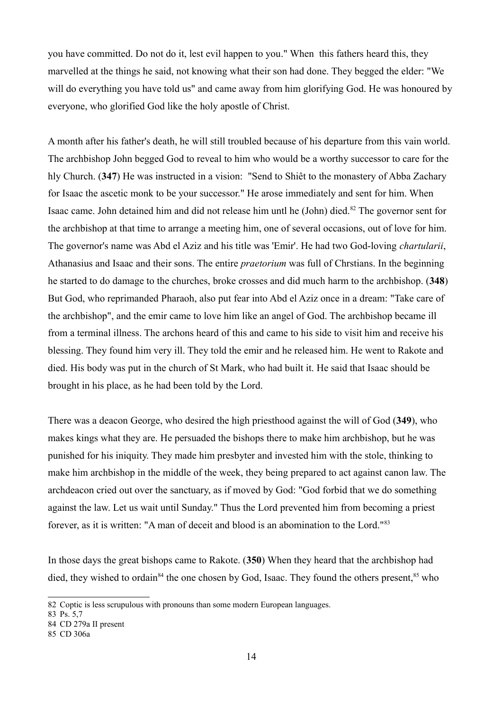you have committed. Do not do it, lest evil happen to you." When this fathers heard this, they marvelled at the things he said, not knowing what their son had done. They begged the elder: "We will do everything you have told us" and came away from him glorifying God. He was honoured by everyone, who glorified God like the holy apostle of Christ.

A month after his father's death, he will still troubled because of his departure from this vain world. The archbishop John begged God to reveal to him who would be a worthy successor to care for the hly Church. (**347**) He was instructed in a vision: "Send to Shiêt to the monastery of Abba Zachary for Isaac the ascetic monk to be your successor." He arose immediately and sent for him. When Isaac came. John detained him and did not release him untl he (John) died.[82](#page-13-0) The governor sent for the archbishop at that time to arrange a meeting him, one of several occasions, out of love for him. The governor's name was Abd el Aziz and his title was 'Emir'. He had two God-loving *chartularii*, Athanasius and Isaac and their sons. The entire *praetorium* was full of Chrstians. In the beginning he started to do damage to the churches, broke crosses and did much harm to the archbishop. (**348**) But God, who reprimanded Pharaoh, also put fear into Abd el Aziz once in a dream: "Take care of the archbishop", and the emir came to love him like an angel of God. The archbishop became ill from a terminal illness. The archons heard of this and came to his side to visit him and receive his blessing. They found him very ill. They told the emir and he released him. He went to Rakote and died. His body was put in the church of St Mark, who had built it. He said that Isaac should be brought in his place, as he had been told by the Lord.

There was a deacon George, who desired the high priesthood against the will of God (**349**), who makes kings what they are. He persuaded the bishops there to make him archbishop, but he was punished for his iniquity. They made him presbyter and invested him with the stole, thinking to make him archbishop in the middle of the week, they being prepared to act against canon law. The archdeacon cried out over the sanctuary, as if moved by God: "God forbid that we do something against the law. Let us wait until Sunday." Thus the Lord prevented him from becoming a priest forever, as it is written: "A man of deceit and blood is an abomination to the Lord."[83](#page-13-1)

In those days the great bishops came to Rakote. (**350**) When they heard that the archbishop had died, they wished to ordain<sup>[84](#page-13-2)</sup> the one chosen by God, Isaac. They found the others present,  $85$  who

<span id="page-13-1"></span>83 Ps. 5,7

<span id="page-13-0"></span><sup>82</sup> Coptic is less scrupulous with pronouns than some modern European languages.

<span id="page-13-2"></span><sup>84</sup> CD 279a II present

<span id="page-13-3"></span><sup>85</sup> CD 306a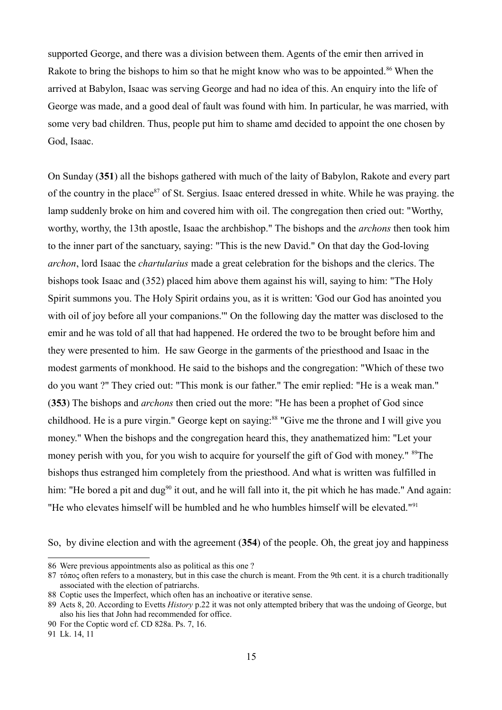supported George, and there was a division between them. Agents of the emir then arrived in Rakote to bring the bishops to him so that he might know who was to be appointed.<sup>[86](#page-14-0)</sup> When the arrived at Babylon, Isaac was serving George and had no idea of this. An enquiry into the life of George was made, and a good deal of fault was found with him. In particular, he was married, with some very bad children. Thus, people put him to shame amd decided to appoint the one chosen by God, Isaac.

On Sunday (**351**) all the bishops gathered with much of the laity of Babylon, Rakote and every part of the country in the place<sup>[87](#page-14-1)</sup> of St. Sergius. Isaac entered dressed in white. While he was praying. the lamp suddenly broke on him and covered him with oil. The congregation then cried out: "Worthy, worthy, worthy, the 13th apostle, Isaac the archbishop." The bishops and the *archons* then took him to the inner part of the sanctuary, saying: "This is the new David." On that day the God-loving *archon*, lord Isaac the *chartularius* made a great celebration for the bishops and the clerics. The bishops took Isaac and (352) placed him above them against his will, saying to him: "The Holy Spirit summons you. The Holy Spirit ordains you, as it is written: 'God our God has anointed you with oil of joy before all your companions.'" On the following day the matter was disclosed to the emir and he was told of all that had happened. He ordered the two to be brought before him and they were presented to him. He saw George in the garments of the priesthood and Isaac in the modest garments of monkhood. He said to the bishops and the congregation: "Which of these two do you want ?" They cried out: "This monk is our father." The emir replied: "He is a weak man." (**353**) The bishops and *archons* then cried out the more: "He has been a prophet of God since childhood. He is a pure virgin." George kept on saying:<sup>[88](#page-14-2)</sup> "Give me the throne and I will give you money." When the bishops and the congregation heard this, they anathematized him: "Let your money perish with you, for you wish to acquire for yourself the gift of God with money." <sup>[89](#page-14-3)</sup>The bishops thus estranged him completely from the priesthood. And what is written was fulfilled in him: "He bored a pit and dug<sup>[90](#page-14-4)</sup> it out, and he will fall into it, the pit which he has made." And again: "He who elevates himself will be humbled and he who humbles himself will be elevated."<sup>[91](#page-14-5)</sup>

So, by divine election and with the agreement (**354**) of the people. Oh, the great joy and happiness

<span id="page-14-0"></span><sup>86</sup> Were previous appointments also as political as this one ?

<span id="page-14-1"></span><sup>87</sup> τόπος often refers to a monastery, but in this case the church is meant. From the 9th cent. it is a church traditionally associated with the election of patriarchs.

<span id="page-14-2"></span><sup>88</sup> Coptic uses the Imperfect, which often has an inchoative or iterative sense.

<span id="page-14-3"></span><sup>89</sup> Acts 8, 20. According to Evetts *History* p.22 it was not only attempted bribery that was the undoing of George, but also his lies that John had recommended for office.

<span id="page-14-4"></span><sup>90</sup> For the Coptic word cf. CD 828a. Ps. 7, 16.

<span id="page-14-5"></span><sup>91</sup> Lk. 14, 11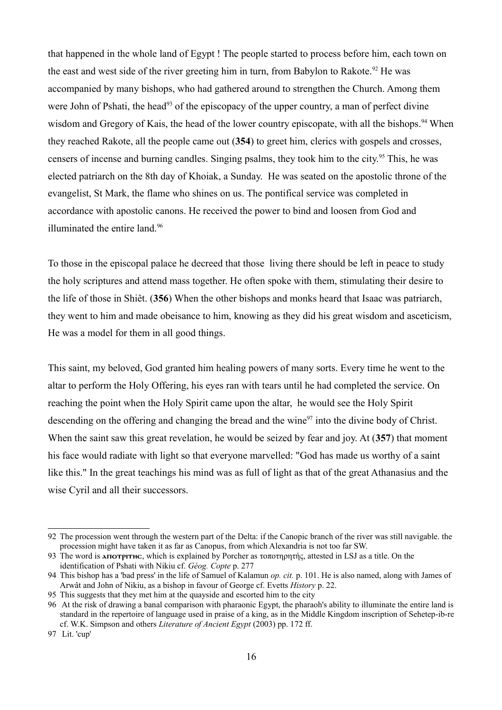that happened in the whole land of Egypt ! The people started to process before him, each town on the east and west side of the river greeting him in turn, from Babylon to Rakote.<sup>[92](#page-15-0)</sup> He was accompanied by many bishops, who had gathered around to strengthen the Church. Among them were John of Pshati, the head<sup>[93](#page-15-1)</sup> of the episcopacy of the upper country, a man of perfect divine wisdom and Gregory of Kais, the head of the lower country episcopate, with all the bishops.<sup>[94](#page-15-2)</sup> When they reached Rakote, all the people came out (**354**) to greet him, clerics with gospels and crosses, censers of incense and burning candles. Singing psalms, they took him to the city.<sup>[95](#page-15-3)</sup> This, he was elected patriarch on the 8th day of Khoiak, a Sunday. He was seated on the apostolic throne of the evangelist, St Mark, the flame who shines on us. The pontifical service was completed in accordance with apostolic canons. He received the power to bind and loosen from God and illuminated the entire land.<sup>[96](#page-15-4)</sup>

To those in the episcopal palace he decreed that those living there should be left in peace to study the holy scriptures and attend mass together. He often spoke with them, stimulating their desire to the life of those in Shiêt. (**356**) When the other bishops and monks heard that Isaac was patriarch, they went to him and made obeisance to him, knowing as they did his great wisdom and asceticism, He was a model for them in all good things.

This saint, my beloved, God granted him healing powers of many sorts. Every time he went to the altar to perform the Holy Offering, his eyes ran with tears until he had completed the service. On reaching the point when the Holy Spirit came upon the altar, he would see the Holy Spirit descending on the offering and changing the bread and the wine<sup>[97](#page-15-5)</sup> into the divine body of Christ. When the saint saw this great revelation, he would be seized by fear and joy. At (**357**) that moment his face would radiate with light so that everyone marvelled: "God has made us worthy of a saint like this." In the great teachings his mind was as full of light as that of the great Athanasius and the wise Cyril and all their successors.

<span id="page-15-0"></span><sup>92</sup> The procession went through the western part of the Delta: if the Canopic branch of the river was still navigable. the procession might have taken it as far as Canopus, from which Alexandria is not too far SW.

<span id="page-15-1"></span><sup>93</sup> The word is **ANOTPITHC**, which is explained by Porcher as τοποτηρητής, attested in LSJ as a title. On the identification of Pshati with Nikiu cf. *Géog. Copte* p. 277

<span id="page-15-2"></span><sup>94</sup> This bishop has a 'bad press' in the life of Samuel of Kalamun *op. cit.* p. 101. He is also named, along with James of Arwât and John of Nikiu, as a bishop in favour of George cf. Evetts *History* p. 22.

<span id="page-15-3"></span><sup>95</sup> This suggests that they met him at the quayside and escorted him to the city

<span id="page-15-4"></span><sup>96</sup> At the risk of drawing a banal comparison with pharaonic Egypt, the pharaoh's ability to illuminate the entire land is standard in the repertoire of language used in praise of a king, as in the Middle Kingdom inscription of Sehetep-ib-re cf. W.K. Simpson and others *Literature of Ancient Egypt* (2003) pp. 172 ff.

<span id="page-15-5"></span><sup>97</sup> Lit. 'cup'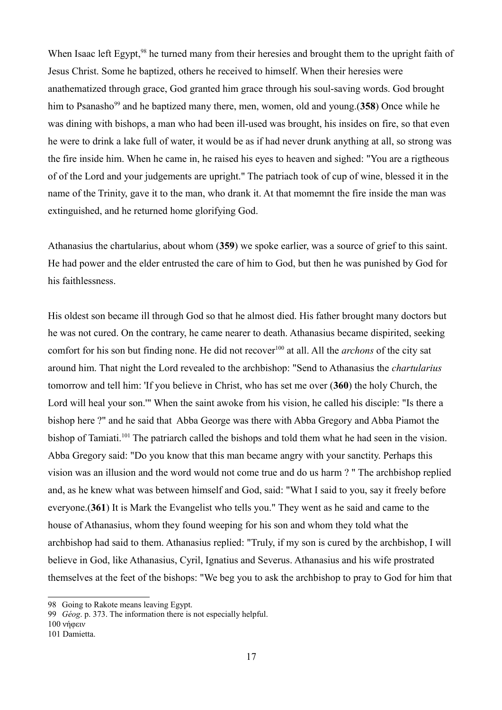When Isaac left Egypt,<sup>[98](#page-16-0)</sup> he turned many from their heresies and brought them to the upright faith of Jesus Christ. Some he baptized, others he received to himself. When their heresies were anathematized through grace, God granted him grace through his soul-saving words. God brought him to Psanasho<sup>[99](#page-16-1)</sup> and he baptized many there, men, women, old and young.(358) Once while he was dining with bishops, a man who had been ill-used was brought, his insides on fire, so that even he were to drink a lake full of water, it would be as if had never drunk anything at all, so strong was the fire inside him. When he came in, he raised his eyes to heaven and sighed: "You are a rigtheous of of the Lord and your judgements are upright." The patriach took of cup of wine, blessed it in the name of the Trinity, gave it to the man, who drank it. At that momemnt the fire inside the man was extinguished, and he returned home glorifying God.

Athanasius the chartularius, about whom (**359**) we spoke earlier, was a source of grief to this saint. He had power and the elder entrusted the care of him to God, but then he was punished by God for his faithlessness.

His oldest son became ill through God so that he almost died. His father brought many doctors but he was not cured. On the contrary, he came nearer to death. Athanasius became dispirited, seeking comfort for his son but finding none. He did not recover<sup>[100](#page-16-2)</sup> at all. All the *archons* of the city sat around him. That night the Lord revealed to the archbishop: "Send to Athanasius the *chartularius* tomorrow and tell him: 'If you believe in Christ, who has set me over (**360**) the holy Church, the Lord will heal your son.'" When the saint awoke from his vision, he called his disciple: "Is there a bishop here ?" and he said that Abba George was there with Abba Gregory and Abba Piamot the bishop of Tamiati.<sup>[101](#page-16-3)</sup> The patriarch called the bishops and told them what he had seen in the vision. Abba Gregory said: "Do you know that this man became angry with your sanctity. Perhaps this vision was an illusion and the word would not come true and do us harm ? " The archbishop replied and, as he knew what was between himself and God, said: "What I said to you, say it freely before everyone.(**361**) It is Mark the Evangelist who tells you." They went as he said and came to the house of Athanasius, whom they found weeping for his son and whom they told what the archbishop had said to them. Athanasius replied: "Truly, if my son is cured by the archbishop, I will believe in God, like Athanasius, Cyril, Ignatius and Severus. Athanasius and his wife prostrated themselves at the feet of the bishops: "We beg you to ask the archbishop to pray to God for him that

<span id="page-16-2"></span>100 νήφειν

<span id="page-16-0"></span><sup>98</sup> Going to Rakote means leaving Egypt.

<span id="page-16-1"></span><sup>99</sup> *Géog*. p. 373. The information there is not especially helpful.

<span id="page-16-3"></span><sup>101</sup> Damietta.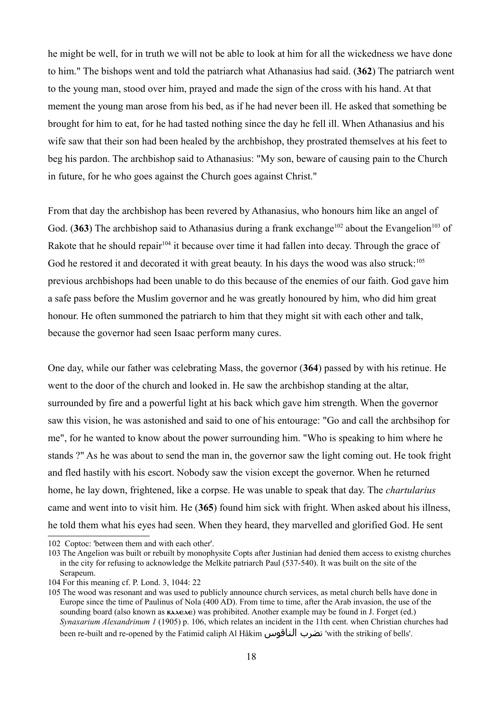he might be well, for in truth we will not be able to look at him for all the wickedness we have done to him." The bishops went and told the patriarch what Athanasius had said. (**362**) The patriarch went to the young man, stood over him, prayed and made the sign of the cross with his hand. At that mement the young man arose from his bed, as if he had never been ill. He asked that something be brought for him to eat, for he had tasted nothing since the day he fell ill. When Athanasius and his wife saw that their son had been healed by the archbishop, they prostrated themselves at his feet to beg his pardon. The archbishop said to Athanasius: "My son, beware of causing pain to the Church in future, for he who goes against the Church goes against Christ."

From that day the archbishop has been revered by Athanasius, who honours him like an angel of God. (363) The archbishop said to Athanasius during a frank exchange<sup>[102](#page-17-0)</sup> about the Evangelion<sup>[103](#page-17-1)</sup> of Rakote that he should repair<sup>[104](#page-17-2)</sup> it because over time it had fallen into decay. Through the grace of God he restored it and decorated it with great beauty. In his days the wood was also struck:<sup>[105](#page-17-3)</sup> previous archbishops had been unable to do this because of the enemies of our faith. God gave him a safe pass before the Muslim governor and he was greatly honoured by him, who did him great honour. He often summoned the patriarch to him that they might sit with each other and talk, because the governor had seen Isaac perform many cures.

One day, while our father was celebrating Mass, the governor (**364**) passed by with his retinue. He went to the door of the church and looked in. He saw the archbishop standing at the altar, surrounded by fire and a powerful light at his back which gave him strength. When the governor saw this vision, he was astonished and said to one of his entourage: "Go and call the archbsihop for me", for he wanted to know about the power surrounding him. "Who is speaking to him where he stands ?" As he was about to send the man in, the governor saw the light coming out. He took fright and fled hastily with his escort. Nobody saw the vision except the governor. When he returned home, he lay down, frightened, like a corpse. He was unable to speak that day. The *chartularius* came and went into to visit him. He (**365**) found him sick with fright. When asked about his illness, he told them what his eyes had seen. When they heard, they marvelled and glorified God. He sent

<span id="page-17-0"></span>102 Coptoc: 'between them and with each other'.

<span id="page-17-1"></span>103 The Angelion was built or rebuilt by monophysite Copts after Justinian had denied them access to existng churches in the city for refusing to acknowledge the Melkite patriarch Paul (537-540). It was built on the site of the Serapeum.

<span id="page-17-2"></span><sup>104</sup> For this meaning cf. P. Lond. 3, 1044: 22

<span id="page-17-3"></span><sup>105</sup> The wood was resonant and was used to publicly announce church services, as metal church bells have done in Europe since the time of Paulinus of Nola (400 AD). From time to time, after the Arab invasion, the use of the sounding board (also known as  $\kappa \lambda \kappa \lambda \epsilon \lambda \epsilon$ ) was prohibited. Another example may be found in J. Forget (ed.) *Synaxarium Alexandrinum 1* (1905) p. 106, which relates an incident in the 11th cent. when Christian churches had been re-built and re-opened by the Fatimid caliph Al Hâkim الناقوس تضرب' with the striking of bells'.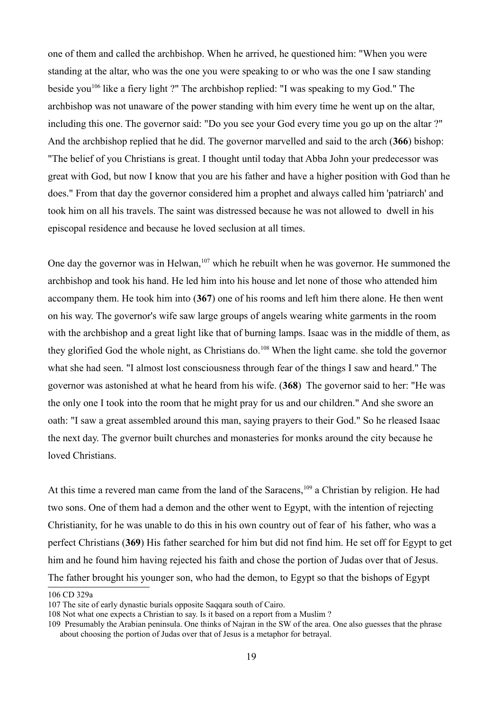one of them and called the archbishop. When he arrived, he questioned him: "When you were standing at the altar, who was the one you were speaking to or who was the one I saw standing beside you<sup>[106](#page-18-0)</sup> like a fiery light ?" The archbishop replied: "I was speaking to my God." The archbishop was not unaware of the power standing with him every time he went up on the altar, including this one. The governor said: "Do you see your God every time you go up on the altar ?" And the archbishop replied that he did. The governor marvelled and said to the arch (**366**) bishop: "The belief of you Christians is great. I thought until today that Abba John your predecessor was great with God, but now I know that you are his father and have a higher position with God than he does." From that day the governor considered him a prophet and always called him 'patriarch' and took him on all his travels. The saint was distressed because he was not allowed to dwell in his episcopal residence and because he loved seclusion at all times.

One day the governor was in Helwan,  $107$  which he rebuilt when he was governor. He summoned the archbishop and took his hand. He led him into his house and let none of those who attended him accompany them. He took him into (**367**) one of his rooms and left him there alone. He then went on his way. The governor's wife saw large groups of angels wearing white garments in the room with the archbishop and a great light like that of burning lamps. Isaac was in the middle of them, as they glorified God the whole night, as Christians do.<sup>[108](#page-18-2)</sup> When the light came. she told the governor what she had seen. "I almost lost consciousness through fear of the things I saw and heard." The governor was astonished at what he heard from his wife. (**368**) The governor said to her: "He was the only one I took into the room that he might pray for us and our children." And she swore an oath: "I saw a great assembled around this man, saying prayers to their God." So he rleased Isaac the next day. The gvernor built churches and monasteries for monks around the city because he loved Christians.

At this time a revered man came from the land of the Saracens,  $109$  a Christian by religion. He had two sons. One of them had a demon and the other went to Egypt, with the intention of rejecting Christianity, for he was unable to do this in his own country out of fear of his father, who was a perfect Christians (**369**) His father searched for him but did not find him. He set off for Egypt to get him and he found him having rejected his faith and chose the portion of Judas over that of Jesus. The father brought his younger son, who had the demon, to Egypt so that the bishops of Egypt

<span id="page-18-0"></span><sup>106</sup> CD 329a

<span id="page-18-1"></span><sup>107</sup> The site of early dynastic burials opposite Saqqara south of Cairo.

<span id="page-18-2"></span><sup>108</sup> Not what one expects a Christian to say. Is it based on a report from a Muslim ?

<span id="page-18-3"></span><sup>109</sup> Presumably the Arabian peninsula. One thinks of Najran in the SW of the area. One also guesses that the phrase about choosing the portion of Judas over that of Jesus is a metaphor for betrayal.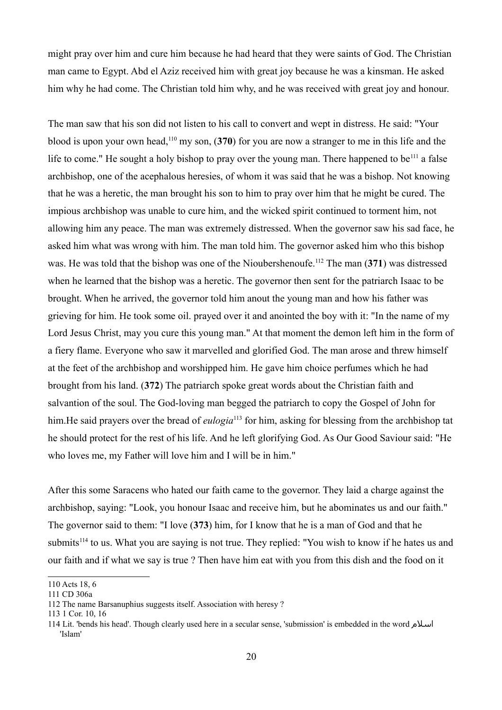might pray over him and cure him because he had heard that they were saints of God. The Christian man came to Egypt. Abd el Aziz received him with great joy because he was a kinsman. He asked him why he had come. The Christian told him why, and he was received with great joy and honour.

The man saw that his son did not listen to his call to convert and wept in distress. He said: "Your blood is upon your own head,[110](#page-19-0) my son, (**370**) for you are now a stranger to me in this life and the life to come." He sought a holy bishop to pray over the young man. There happened to be<sup>[111](#page-19-1)</sup> a false archbishop, one of the acephalous heresies, of whom it was said that he was a bishop. Not knowing that he was a heretic, the man brought his son to him to pray over him that he might be cured. The impious archbishop was unable to cure him, and the wicked spirit continued to torment him, not allowing him any peace. The man was extremely distressed. When the governor saw his sad face, he asked him what was wrong with him. The man told him. The governor asked him who this bishop was. He was told that the bishop was one of the Nioubershenoufe.[112](#page-19-2) The man (**371**) was distressed when he learned that the bishop was a heretic. The governor then sent for the patriarch Isaac to be brought. When he arrived, the governor told him anout the young man and how his father was grieving for him. He took some oil. prayed over it and anointed the boy with it: "In the name of my Lord Jesus Christ, may you cure this young man." At that moment the demon left him in the form of a fiery flame. Everyone who saw it marvelled and glorified God. The man arose and threw himself at the feet of the archbishop and worshipped him. He gave him choice perfumes which he had brought from his land. (**372**) The patriarch spoke great words about the Christian faith and salvantion of the soul. The God-loving man begged the patriarch to copy the Gospel of John for him. He said prayers over the bread of *eulogia*<sup>[113](#page-19-3)</sup> for him, asking for blessing from the archbishop tat he should protect for the rest of his life. And he left glorifying God. As Our Good Saviour said: "He who loves me, my Father will love him and I will be in him."

After this some Saracens who hated our faith came to the governor. They laid a charge against the archbishop, saying: "Look, you honour Isaac and receive him, but he abominates us and our faith." The governor said to them: "I love (**373**) him, for I know that he is a man of God and that he submits<sup>[114](#page-19-4)</sup> to us. What you are saying is not true. They replied: "You wish to know if he hates us and our faith and if what we say is true ? Then have him eat with you from this dish and the food on it

<span id="page-19-0"></span><sup>110</sup> Acts 18, 6

<span id="page-19-1"></span><sup>111</sup> CD 306a

<span id="page-19-2"></span><sup>112</sup> The name Barsanuphius suggests itself. Association with heresy ?

<span id="page-19-3"></span><sup>113 1</sup> Cor. 10, 16

<span id="page-19-4"></span><sup>114</sup> Lit. 'bends his head'. Though clearly used here in a secular sense, 'submission' is embedded in the word م اسل 'Islam'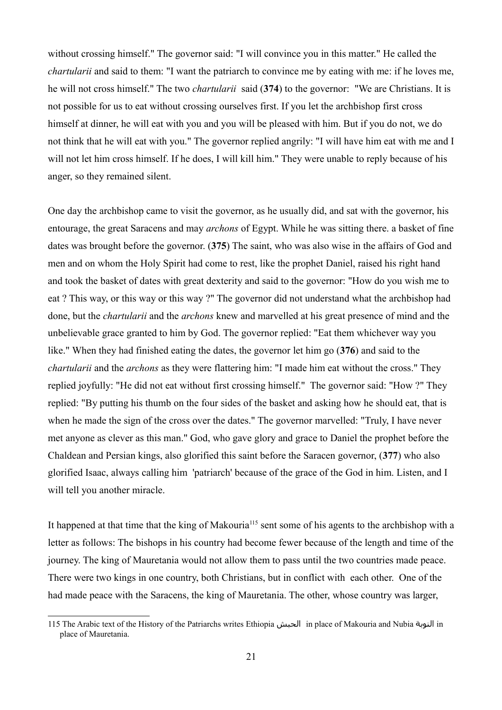without crossing himself." The governor said: "I will convince you in this matter." He called the *chartularii* and said to them: "I want the patriarch to convince me by eating with me: if he loves me, he will not cross himself." The two *chartularii* said (**374**) to the governor: "We are Christians. It is not possible for us to eat without crossing ourselves first. If you let the archbishop first cross himself at dinner, he will eat with you and you will be pleased with him. But if you do not, we do not think that he will eat with you." The governor replied angrily: "I will have him eat with me and I will not let him cross himself. If he does, I will kill him." They were unable to reply because of his anger, so they remained silent.

One day the archbishop came to visit the governor, as he usually did, and sat with the governor, his entourage, the great Saracens and may *archons* of Egypt. While he was sitting there. a basket of fine dates was brought before the governor. (**375**) The saint, who was also wise in the affairs of God and men and on whom the Holy Spirit had come to rest, like the prophet Daniel, raised his right hand and took the basket of dates with great dexterity and said to the governor: "How do you wish me to eat ? This way, or this way or this way ?" The governor did not understand what the archbishop had done, but the *chartularii* and the *archons* knew and marvelled at his great presence of mind and the unbelievable grace granted to him by God. The governor replied: "Eat them whichever way you like." When they had finished eating the dates, the governor let him go (**376**) and said to the *chartularii* and the *archons* as they were flattering him: "I made him eat without the cross." They replied joyfully: "He did not eat without first crossing himself." The governor said: "How ?" They replied: "By putting his thumb on the four sides of the basket and asking how he should eat, that is when he made the sign of the cross over the dates." The governor marvelled: "Truly, I have never met anyone as clever as this man." God, who gave glory and grace to Daniel the prophet before the Chaldean and Persian kings, also glorified this saint before the Saracen governor, (**377**) who also glorified Isaac, always calling him 'patriarch' because of the grace of the God in him. Listen, and I will tell you another miracle.

It happened at that time that the king of Makouria<sup>[115](#page-20-0)</sup> sent some of his agents to the archbishop with a letter as follows: The bishops in his country had become fewer because of the length and time of the journey. The king of Mauretania would not allow them to pass until the two countries made peace. There were two kings in one country, both Christians, but in conflict with each other. One of the had made peace with the Saracens, the king of Mauretania. The other, whose country was larger,

<span id="page-20-0"></span><sup>115</sup> The Arabic text of the History of the Patriarchs writes Ethiopia الحبش in place of Makouria and Nubia النوبة in place of Mauretania.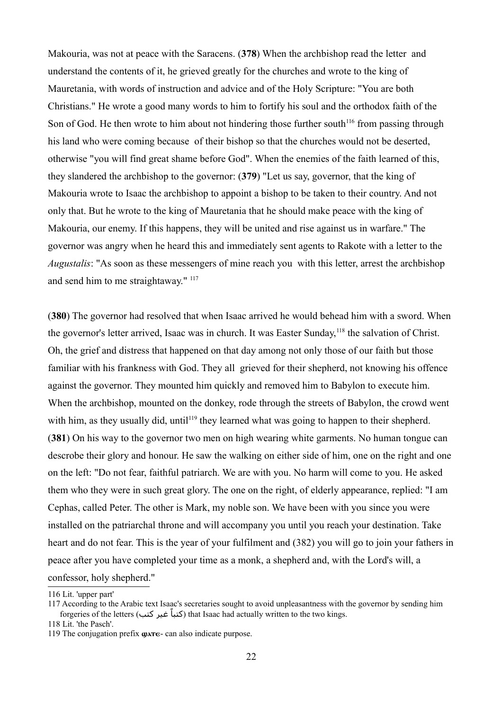Makouria, was not at peace with the Saracens. (**378**) When the archbishop read the letter and understand the contents of it, he grieved greatly for the churches and wrote to the king of Mauretania, with words of instruction and advice and of the Holy Scripture: "You are both Christians." He wrote a good many words to him to fortify his soul and the orthodox faith of the Son of God. He then wrote to him about not hindering those further south<sup>[116](#page-21-0)</sup> from passing through his land who were coming because of their bishop so that the churches would not be deserted, otherwise "you will find great shame before God". When the enemies of the faith learned of this, they slandered the archbishop to the governor: (**379**) "Let us say, governor, that the king of Makouria wrote to Isaac the archbishop to appoint a bishop to be taken to their country. And not only that. But he wrote to the king of Mauretania that he should make peace with the king of Makouria, our enemy. If this happens, they will be united and rise against us in warfare." The governor was angry when he heard this and immediately sent agents to Rakote with a letter to the *Augustalis*: "As soon as these messengers of mine reach you with this letter, arrest the archbishop and send him to me straightaway." <sup>[117](#page-21-1)</sup>

(**380**) The governor had resolved that when Isaac arrived he would behead him with a sword. When the governor's letter arrived, Isaac was in church. It was Easter Sunday,<sup>[118](#page-21-2)</sup> the salvation of Christ. Oh, the grief and distress that happened on that day among not only those of our faith but those familiar with his frankness with God. They all grieved for their shepherd, not knowing his offence against the governor. They mounted him quickly and removed him to Babylon to execute him. When the archbishop, mounted on the donkey, rode through the streets of Babylon, the crowd went with him, as they usually did, until<sup>[119](#page-21-3)</sup> they learned what was going to happen to their shepherd. (**381**) On his way to the governor two men on high wearing white garments. No human tongue can descrobe their glory and honour. He saw the walking on either side of him, one on the right and one on the left: "Do not fear, faithful patriarch. We are with you. No harm will come to you. He asked them who they were in such great glory. The one on the right, of elderly appearance, replied: "I am Cephas, called Peter. The other is Mark, my noble son. We have been with you since you were installed on the patriarchal throne and will accompany you until you reach your destination. Take heart and do not fear. This is the year of your fulfilment and (382) you will go to join your fathers in peace after you have completed your time as a monk, a shepherd and, with the Lord's will, a confessor, holy shepherd."

<span id="page-21-2"></span>118 Lit. 'the Pasch'.

<span id="page-21-0"></span><sup>116</sup> Lit. 'upper part'

<span id="page-21-1"></span><sup>117</sup> According to the Arabic text Isaac's secretaries sought to avoid unpleasantness with the governor by sending him forgeries of the letters (كتباً غير كتب) that Isaac had actually written to the two kings.

<span id="page-21-3"></span><sup>119</sup> The conjugation prefix  $\omega$ <sub> $\alpha$ </sub> $\epsilon$ - can also indicate purpose.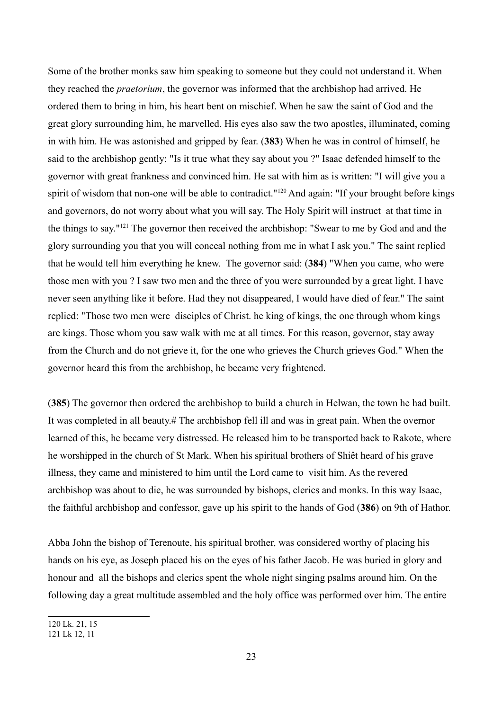Some of the brother monks saw him speaking to someone but they could not understand it. When they reached the *praetorium*, the governor was informed that the archbishop had arrived. He ordered them to bring in him, his heart bent on mischief. When he saw the saint of God and the great glory surrounding him, he marvelled. His eyes also saw the two apostles, illuminated, coming in with him. He was astonished and gripped by fear. (**383**) When he was in control of himself, he said to the archbishop gently: "Is it true what they say about you ?" Isaac defended himself to the governor with great frankness and convinced him. He sat with him as is written: "I will give you a spirit of wisdom that non-one will be able to contradict."<sup>[120](#page-22-0)</sup> And again: "If your brought before kings and governors, do not worry about what you will say. The Holy Spirit will instruct at that time in the things to say."[121](#page-22-1) The governor then received the archbishop: "Swear to me by God and and the glory surrounding you that you will conceal nothing from me in what I ask you." The saint replied that he would tell him everything he knew. The governor said: (**384**) "When you came, who were those men with you ? I saw two men and the three of you were surrounded by a great light. I have never seen anything like it before. Had they not disappeared, I would have died of fear." The saint replied: "Those two men were disciples of Christ. he king of kings, the one through whom kings are kings. Those whom you saw walk with me at all times. For this reason, governor, stay away from the Church and do not grieve it, for the one who grieves the Church grieves God." When the governor heard this from the archbishop, he became very frightened.

(**385**) The governor then ordered the archbishop to build a church in Helwan, the town he had built. It was completed in all beauty.# The archbishop fell ill and was in great pain. When the overnor learned of this, he became very distressed. He released him to be transported back to Rakote, where he worshipped in the church of St Mark. When his spiritual brothers of Shiêt heard of his grave illness, they came and ministered to him until the Lord came to visit him. As the revered archbishop was about to die, he was surrounded by bishops, clerics and monks. In this way Isaac, the faithful archbishop and confessor, gave up his spirit to the hands of God (**386**) on 9th of Hathor.

Abba John the bishop of Terenoute, his spiritual brother, was considered worthy of placing his hands on his eye, as Joseph placed his on the eyes of his father Jacob. He was buried in glory and honour and all the bishops and clerics spent the whole night singing psalms around him. On the following day a great multitude assembled and the holy office was performed over him. The entire

<span id="page-22-0"></span><sup>120</sup> Lk. 21, 15

<span id="page-22-1"></span><sup>121</sup> Lk 12, 11